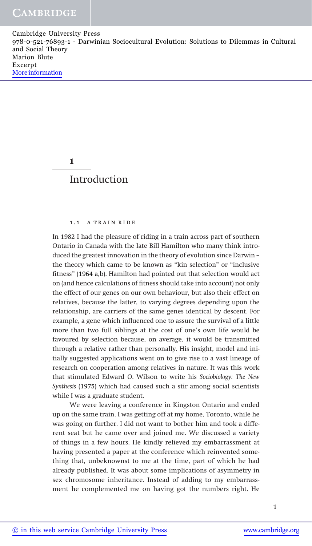1

# Introduction

## 1.1 a train ride

In 1982 I had the pleasure of riding in a train across part of southern Ontario in Canada with the late Bill Hamilton who many think introduced the greatest innovation in the theory of evolution since Darwin the theory which came to be known as "kin selection" or "inclusive fitness" (1964 a,b). Hamilton had pointed out that selection would act on (and hence calculations of fitness should take into account) not only the effect of our genes on our own behaviour, but also their effect on relatives, because the latter, to varying degrees depending upon the relationship, are carriers of the same genes identical by descent. For example, a gene which influenced one to assure the survival of a little more than two full siblings at the cost of one's own life would be favoured by selection because, on average, it would be transmitted through a relative rather than personally. His insight, model and initially suggested applications went on to give rise to a vast lineage of research on cooperation among relatives in nature. It was this work that stimulated Edward O. Wilson to write his Sociobiology: The New Synthesis (1975) which had caused such a stir among social scientists while I was a graduate student.

We were leaving a conference in Kingston Ontario and ended up on the same train. I was getting off at my home, Toronto, while he was going on further. I did not want to bother him and took a different seat but he came over and joined me. We discussed a variety of things in a few hours. He kindly relieved my embarrassment at having presented a paper at the conference which reinvented something that, unbeknownst to me at the time, part of which he had already published. It was about some implications of asymmetry in sex chromosome inheritance. Instead of adding to my embarrassment he complemented me on having got the numbers right. He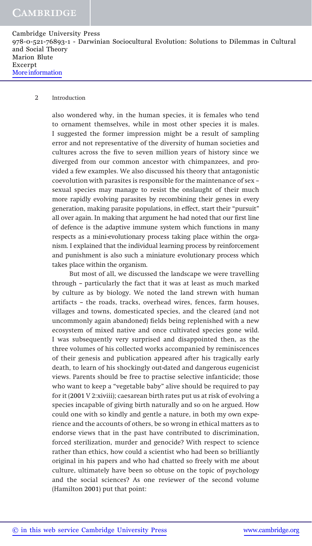## 2 Introduction

also wondered why, in the human species, it is females who tend to ornament themselves, while in most other species it is males. I suggested the former impression might be a result of sampling error and not representative of the diversity of human societies and cultures across the five to seven million years of history since we diverged from our common ancestor with chimpanzees, and provided a few examples. We also discussed his theory that antagonistic coevolution with parasites is responsible for the maintenance of sex sexual species may manage to resist the onslaught of their much more rapidly evolving parasites by recombining their genes in every generation, making parasite populations, in effect, start their "pursuit" all over again. In making that argument he had noted that our first line of defence is the adaptive immune system which functions in many respects as a mini-evolutionary process taking place within the organism. I explained that the individual learning process by reinforcement and punishment is also such a miniature evolutionary process which takes place within the organism.

But most of all, we discussed the landscape we were travelling through - particularly the fact that it was at least as much marked by culture as by biology. We noted the land strewn with human artifacts - the roads, tracks, overhead wires, fences, farm houses, villages and towns, domesticated species, and the cleared (and not uncommonly again abandoned) fields being replenished with a new ecosystem of mixed native and once cultivated species gone wild. I was subsequently very surprised and disappointed then, as the three volumes of his collected works accompanied by reminiscences of their genesis and publication appeared after his tragically early death, to learn of his shockingly out-dated and dangerous eugenicist views. Parents should be free to practise selective infanticide; those who want to keep a "vegetable baby" alive should be required to pay for it (2001 V 2:xiviii); caesarean birth rates put us at risk of evolving a species incapable of giving birth naturally and so on he argued. How could one with so kindly and gentle a nature, in both my own experience and the accounts of others, be so wrong in ethical matters as to endorse views that in the past have contributed to discrimination, forced sterilization, murder and genocide? With respect to science rather than ethics, how could a scientist who had been so brilliantly original in his papers and who had chatted so freely with me about culture, ultimately have been so obtuse on the topic of psychology and the social sciences? As one reviewer of the second volume (Hamilton 2001) put that point: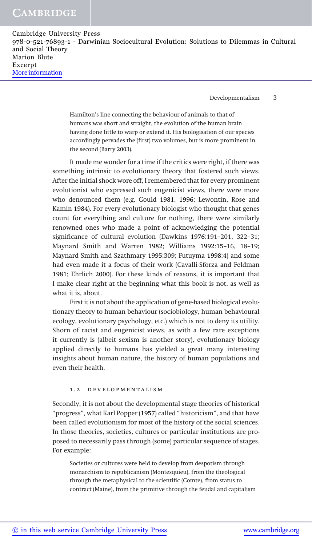Developmentalism 3

Hamilton's line connecting the behaviour of animals to that of humans was short and straight, the evolution of the human brain having done little to warp or extend it. His biologisation of our species accordingly pervades the (first) two volumes, but is more prominent in the second (Barry 2003).

It made me wonder for a time if the critics were right, if there was something intrinsic to evolutionary theory that fostered such views. After the initial shock wore off, I remembered that for every prominent evolutionist who expressed such eugenicist views, there were more who denounced them (e.g. Gould 1981, 1996; Lewontin, Rose and Kamin 1984). For every evolutionary biologist who thought that genes count for everything and culture for nothing, there were similarly renowned ones who made a point of acknowledging the potential significance of cultural evolution (Dawkins 1976:191-201, 322-31; Maynard Smith and Warren 1982; Williams 1992:15-16, 18-19; Maynard Smith and Szathmary 1995:309; Futuyma 1998:4) and some had even made it a focus of their work (Cavalli-Sforza and Feldman 1981; Ehrlich 2000). For these kinds of reasons, it is important that I make clear right at the beginning what this book is not, as well as what it is, about.

First it is not about the application of gene-based biological evolutionary theory to human behaviour (sociobiology, human behavioural ecology, evolutionary psychology, etc.) which is not to deny its utility. Shorn of racist and eugenicist views, as with a few rare exceptions it currently is (albeit sexism is another story), evolutionary biology applied directly to humans has yielded a great many interesting insights about human nature, the history of human populations and even their health.

# 1.2 developmentalism

Secondly, it is not about the developmental stage theories of historical "progress", what Karl Popper (1957) called "historicism", and that have been called evolutionism for most of the history of the social sciences. In those theories, societies, cultures or particular institutions are proposed to necessarily pass through (some) particular sequence of stages. For example:

Societies or cultures were held to develop from despotism through monarchism to republicanism (Montesquieu), from the theological through the metaphysical to the scientific (Comte), from status to contract (Maine), from the primitive through the feudal and capitalism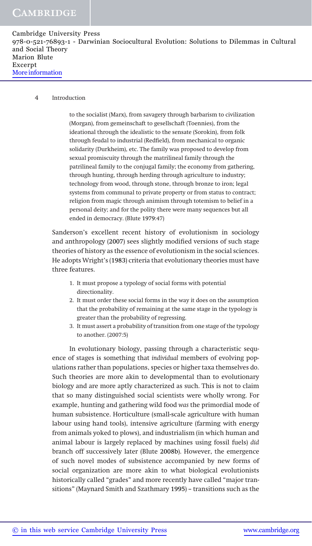| Cambridge University Press |                                                                                          |
|----------------------------|------------------------------------------------------------------------------------------|
|                            | 978-0-521-76893-1 - Darwinian Sociocultural Evolution: Solutions to Dilemmas in Cultural |
| and Social Theory          |                                                                                          |
| Marion Blute               |                                                                                          |
| Excerpt                    |                                                                                          |
| More information           |                                                                                          |

## 4 Introduction

to the socialist (Marx), from savagery through barbarism to civilization (Morgan), from gemeinschaft to gesellschaft (Toennies), from the ideational through the idealistic to the sensate (Sorokin), from folk through feudal to industrial (Redfield), from mechanical to organic solidarity (Durkheim), etc. The family was proposed to develop from sexual promiscuity through the matrilineal family through the patrilineal family to the conjugal family; the economy from gathering, through hunting, through herding through agriculture to industry; technology from wood, through stone, through bronze to iron; legal systems from communal to private property or from status to contract; religion from magic through animism through totemism to belief in a personal deity; and for the polity there were many sequences but all ended in democracy. (Blute 1979:47)

Sanderson's excellent recent history of evolutionism in sociology and anthropology (2007) sees slightly modified versions of such stage theories of history as the essence of evolutionism in the social sciences. He adopts Wright's (1983) criteria that evolutionary theories must have three features.

- 1. It must propose a typology of social forms with potential directionality.
- 2. It must order these social forms in the way it does on the assumption that the probability of remaining at the same stage in the typology is greater than the probability of regressing.
- 3. It must assert a probability of transition from one stage of the typology to another. (2007:5)

In evolutionary biology, passing through a characteristic sequence of stages is something that individual members of evolving populations rather than populations, species or higher taxa themselves do. Such theories are more akin to developmental than to evolutionary biology and are more aptly characterized as such. This is not to claim that so many distinguished social scientists were wholly wrong. For example, hunting and gathering wild food was the primordial mode of human subsistence. Horticulture (small-scale agriculture with human labour using hand tools), intensive agriculture (farming with energy from animals yoked to plows), and industrialism (in which human and animal labour is largely replaced by machines using fossil fuels) did branch off successively later (Blute 2008b). However, the emergence of such novel modes of subsistence accompanied by new forms of social organization are more akin to what biological evolutionists historically called "grades" and more recently have called "major transitions" (Maynard Smith and Szathmary 1995) - transitions such as the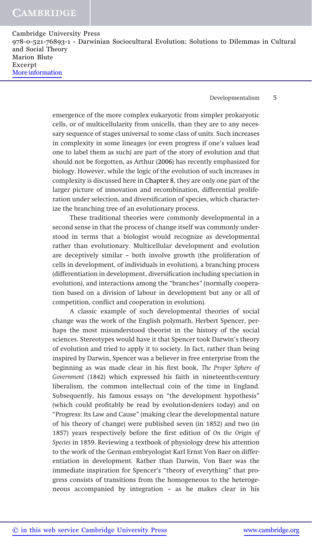Developmentalism 5

emergence of the more complex eukaryotic from simpler prokaryotic cells, or of multicellularity from unicells, than they are to any necessary sequence of stages universal to some class of units. Such increases in complexity in some lineages (or even progress if one's values lead one to label them as such) are part of the story of evolution and that should not be forgotten, as Arthur (2006) has recently emphasized for biology. However, while the logic of the evolution of such increases in complexity is discussed here in Chapter 8, they are only one part of the larger picture of innovation and recombination, differential proliferation under selection, and diversification of species, which characterize the branching tree of an evolutionary process.

These traditional theories were commonly developmental in a second sense in that the process of change itself was commonly understood in terms that a biologist would recognize as developmental rather than evolutionary. Multicellular development and evolution are deceptively similar - both involve growth (the proliferation of cells in development, of individuals in evolution), a branching process (differentiation in development, diversification including speciation in evolution), and interactions among the "branches" (normally cooperation based on a division of labour in development but any or all of competition, conflict and cooperation in evolution).

A classic example of such developmental theories of social change was the work of the English polymath, Herbert Spencer, perhaps the most misunderstood theorist in the history of the social sciences. Stereotypes would have it that Spencer took Darwin's theory of evolution and tried to apply it to society. In fact, rather than being inspired by Darwin, Spencer was a believer in free enterprise from the beginning as was made clear in his first book, The Proper Sphere of Government (1842) which expressed his faith in nineteenth-century liberalism, the common intellectual coin of the time in England. Subsequently, his famous essays on "the development hypothesis" (which could profitably be read by evolution-deniers today) and on "Progress: Its Law and Cause" (making clear the developmental nature of his theory of change) were published seven (in 1852) and two (in 1857) years respectively before the first edition of On the Origin of Species in 1859. Reviewing a textbook of physiology drew his attention to the work of the German embryologist Karl Ernst Von Baer on differentiation in development. Rather than Darwin, Von Baer was the immediate inspiration for Spencer's "theory of everything" that progress consists of transitions from the homogeneous to the heterogeneous accompanied by integration - as he makes clear in his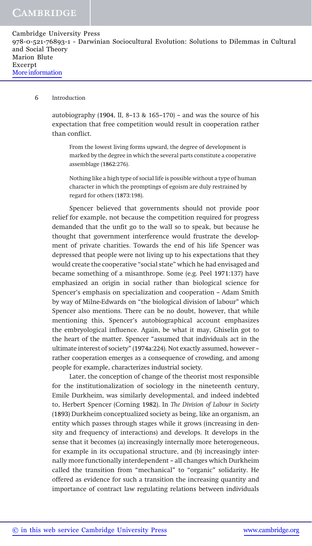| Cambridge University Press                                                               |
|------------------------------------------------------------------------------------------|
| 978-0-521-76893-1 - Darwinian Sociocultural Evolution: Solutions to Dilemmas in Cultural |
| and Social Theory                                                                        |
| Marion Blute                                                                             |
| Excerpt                                                                                  |
| More information                                                                         |
|                                                                                          |

## 6 Introduction

autobiography (1904, II, 8-13 & 165-170) - and was the source of his expectation that free competition would result in cooperation rather than conflict.

From the lowest living forms upward, the degree of development is marked by the degree in which the several parts constitute a cooperative assemblage (1862:276).

Nothing like a high type of social life is possible without a type of human character in which the promptings of egoism are duly restrained by regard for others (1873:198).

Spencer believed that governments should not provide poor relief for example, not because the competition required for progress demanded that the unfit go to the wall so to speak, but because he thought that government interference would frustrate the development of private charities. Towards the end of his life Spencer was depressed that people were not living up to his expectations that they would create the cooperative "social state" which he had envisaged and became something of a misanthrope. Some (e.g. Peel 1971:137) have emphasized an origin in social rather than biological science for Spencer's emphasis on specialization and cooperation - Adam Smith by way of Milne-Edwards on "the biological division of labour" which Spencer also mentions. There can be no doubt, however, that while mentioning this, Spencer's autobiographical account emphasizes the embryological influence. Again, be what it may, Ghiselin got to the heart of the matter. Spencer "assumed that individuals act in the ultimate interest of society" (1974a:224). Not exactly assumed, however rather cooperation emerges as a consequence of crowding, and among people for example, characterizes industrial society.

Later, the conception of change of the theorist most responsible for the institutionalization of sociology in the nineteenth century, Emile Durkheim, was similarly developmental, and indeed indebted to, Herbert Spencer (Corning 1982). In The Division of Labour in Society (1893) Durkheim conceptualized society as being, like an organism, an entity which passes through stages while it grows (increasing in density and frequency of interactions) and develops. It develops in the sense that it becomes (a) increasingly internally more heterogeneous, for example in its occupational structure, and (b) increasingly internally more functionally interdependent - all changes which Durkheim called the transition from "mechanical" to "organic" solidarity. He offered as evidence for such a transition the increasing quantity and importance of contract law regulating relations between individuals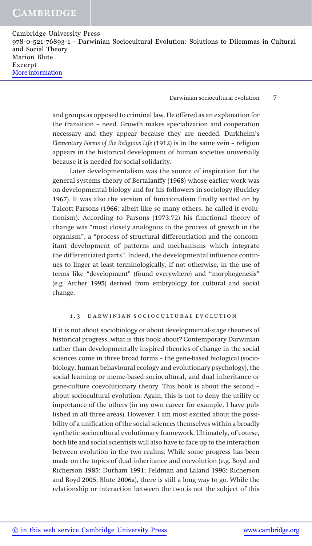Darwinian sociocultural evolution 7

and groups as opposed to criminal law. He offered as an explanation for the transition - need. Growth makes specialization and cooperation necessary and they appear because they are needed. Durkheim's Elementary Forms of the Religious Life (1912) is in the same vein - religion appears in the historical development of human societies universally because it is needed for social solidarity.

Later developmentalism was the source of inspiration for the general systems theory of Bertalanffy (1968) whose earlier work was on developmental biology and for his followers in sociology (Buckley 1967). It was also the version of functionalism finally settled on by Talcott Parsons (1966; albeit like so many others, he called it evolutionism). According to Parsons (1973:72) his functional theory of change was "most closely analogous to the process of growth in the organism", a "process of structural differentiation and the concomitant development of patterns and mechanisms which integrate the differentiated parts". Indeed, the developmental influence continues to linger at least terminologically, if not otherwise, in the use of terms like "development" (found everywhere) and "morphogenesis" (e.g. Archer 1995) derived from embryology for cultural and social change.

# 1.3 darwinian sociocultural evolution

If it is not about sociobiology or about developmental-stage theories of historical progress, what is this book about? Contemporary Darwinian rather than developmentally inspired theories of change in the social sciences come in three broad forms - the gene-based biological (sociobiology, human behavioural ecology and evolutionary psychology), the social learning or meme-based sociocultural, and dual inheritance or gene-culture coevolutionary theory. This book is about the second about sociocultural evolution. Again, this is not to deny the utility or importance of the others (in my own career for example, I have published in all three areas). However, I am most excited about the possibility of a unification of the social sciences themselves within a broadly synthetic sociocultural evolutionary framework. Ultimately, of course, both life and social scientists will also have to face up to the interaction between evolution in the two realms. While some progress has been made on the topics of dual inheritance and coevolution (e.g. Boyd and Richerson 1985; Durham 1991; Feldman and Laland 1996; Richerson and Boyd 2005; Blute 2006a), there is still a long way to go. While the relationship or interaction between the two is not the subject of this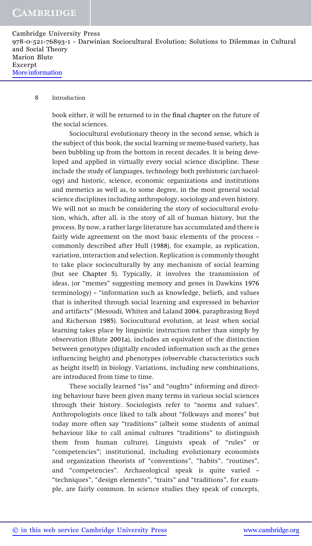#### 8 Introduction

book either, it will be returned to in the final chapter on the future of the social sciences.

Sociocultural evolutionary theory in the second sense, which is the subject of this book, the social learning or meme-based variety, has been bubbling up from the bottom in recent decades. It is being developed and applied in virtually every social science discipline. These include the study of languages, technology both prehistoric (archaeology) and historic, science, economic organizations and institutions and memetics as well as, to some degree, in the most general social science disciplines including anthropology, sociology and even history. We will not so much be considering the story of sociocultural evolution, which, after all, is the story of all of human history, but the process. By now, a rather large literature has accumulated and there is fairly wide agreement on the most basic elements of the process commonly described after Hull (1988), for example, as replication, variation, interaction and selection. Replication is commonly thought to take place socioculturally by any mechanism of social learning (but see Chapter 5). Typically, it involves the transmission of ideas, (or "memes" suggesting memory and genes in Dawkins 1976 terminology) - "information such as knowledge, beliefs, and values that is inherited through social learning and expressed in behavior and artifacts" (Mesoudi, Whiten and Laland 2004, paraphrasing Boyd and Richerson 1985). Sociocultural evolution, at least when social learning takes place by linguistic instruction rather than simply by observation (Blute 2001a), includes an equivalent of the distinction between genotypes (digitally encoded information such as the genes influencing height) and phenotypes (observable characteristics such as height itself) in biology. Variations, including new combinations, are introduced from time to time.

These socially learned "iss" and "oughts" informing and directing behaviour have been given many terms in various social sciences through their history. Sociologists refer to "norms and values". Anthropologists once liked to talk about "folkways and mores" but today more often say "traditions" (albeit some students of animal behaviour like to call animal cultures "traditions" to distinguish them from human culture). Linguists speak of "rules" or "competencies"; institutional, including evolutionary economists and organization theorists of "conventions", "habits", "routines", and "competencies". Archaeological speak is quite varied -"techniques", "design elements", "traits" and "traditions", for example, are fairly common. In science studies they speak of concepts,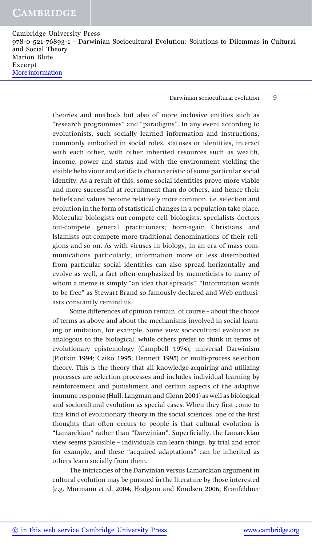#### Darwinian sociocultural evolution 9

theories and methods but also of more inclusive entities such as "research programmes" and "paradigms". In any event according to evolutionists, such socially learned information and instructions, commonly embodied in social roles, statuses or identities, interact with each other, with other inherited resources such as wealth, income, power and status and with the environment yielding the visible behaviour and artifacts characteristic of some particular social identity. As a result of this, some social identities prove more viable and more successful at recruitment than do others, and hence their beliefs and values become relatively more common, i.e. selection and evolution in the form of statistical changes in a population take place. Molecular biologists out-compete cell biologists; specialists doctors out-compete general practitioners; born-again Christians and Islamists out-compete more traditional denominations of their religions and so on. As with viruses in biology, in an era of mass communications particularly, information more or less disembodied from particular social identities can also spread horizontally and evolve as well, a fact often emphasized by memeticists to many of whom a meme is simply "an idea that spreads". "Information wants to be free" as Stewart Brand so famously declared and Web enthusiasts constantly remind us.

Some differences of opinion remain, of course - about the choice of terms as above and about the mechanisms involved in social learning or imitation, for example. Some view sociocultural evolution as analogous to the biological, while others prefer to think in terms of evolutionary epistemology (Campbell 1974), universal Darwinism (Plotkin 1994; Cziko 1995; Dennett 1995) or multi-process selection theory. This is the theory that all knowledge-acquiring and utilizing processes are selection processes and includes individual learning by reinforcement and punishment and certain aspects of the adaptive immune response (Hull, Langman and Glenn 2001) as well as biological and sociocultural evolution as special cases. When they first come to this kind of evolutionary theory in the social sciences, one of the first thoughts that often occurs to people is that cultural evolution is "Lamarckian" rather than "Darwinian". Superficially, the Lamarckian view seems plausible - individuals can learn things, by trial and error for example, and these "acquired adaptations" can be inherited as others learn socially from them.

The intricacies of the Darwinian versus Lamarckian argument in cultural evolution may be pursued in the literature by those interested (e.g. Murmann et al. 2004; Hodgson and Knudsen 2006; Kronfeldner